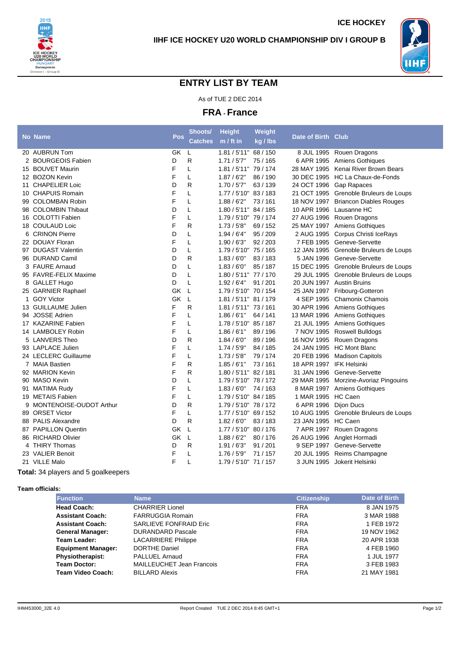



## **ENTRY LIST BY TEAM**

As of TUE 2 DEC 2014

**FRA - France**

|   | <b>No Name</b>          | Pos.      | Shoots/        | <b>Height</b>         | Weight   | Date of Birth Club        |                                        |
|---|-------------------------|-----------|----------------|-----------------------|----------|---------------------------|----------------------------------------|
|   |                         |           | <b>Catches</b> | m / ft in             | kg / lbs |                           |                                        |
|   | 20 AUBRUN Tom           | <b>GK</b> | L              | 1.81 / 5'11" 68 / 150 |          |                           | 8 JUL 1995 Rouen Dragons               |
|   | 2 BOURGEOIS Fabien      | D         | R              | 1.71/5'7"             | 75 / 165 |                           | 6 APR 1995 Amiens Gothiques            |
|   | 15 BOUVET Maurin        | F         | L              | 1.81 / 5'11" 79 / 174 |          |                           | 28 MAY 1995 Kenai River Brown Bears    |
|   | 12 BOZON Kevin          | F         | L              | 1.87/6'2"             | 86 / 190 |                           | 30 DEC 1995 HC La Chaux-de-Fonds       |
|   | 11 CHAPELIER Loic       | D         | R              | 1.70/5'7"             | 63 / 139 |                           | 24 OCT 1996 Gap Rapaces                |
|   | 10 CHAPUIS Romain       | F         | L              | 1.77 / 5'10" 83 / 183 |          |                           | 21 OCT 1995 Grenoble Bruleurs de Loups |
|   | 99 COLOMBAN Robin       | F         | L              | 1.88/6'2"             | 73/161   |                           | 18 NOV 1997 Briancon Diables Rouges    |
|   | 98 COLOMBIN Thibaut     | D         | L              | 1.80 / 5'11" 84 / 185 |          | 10 APR 1996 Lausanne HC   |                                        |
|   | 16 COLOTTI Fabien       | F         | L              | 1.79 / 5'10" 79 / 174 |          |                           | 27 AUG 1996 Rouen Dragons              |
|   | 18 COULAUD Loic         | F         | R              | 1.73/5'8''            | 69 / 152 |                           | 25 MAY 1997 Amiens Gothiques           |
|   | 6 CRINON Pierre         | D         | L              | 1.94/6'4"             | 95 / 209 |                           | 2 AUG 1995 Corpus Christi IceRays      |
|   | 22 DOUAY Floran         | F         | L              | 1.90/6'3''            | 92/203   |                           | 7 FEB 1995 Geneve-Servette             |
|   | 97 DUGAST Valentin      | D         | Г              | 1.79 / 5'10" 75 / 165 |          |                           | 12 JAN 1995 Grenoble Bruleurs de Loups |
|   | 96 DURAND Camil         | D         | R              | 1.83/6'0''            | 83/183   |                           | 5 JAN 1996 Geneve-Servette             |
|   | 3 FAURE Arnaud          | D         | L              | 1.83/6'0''            | 85/187   |                           | 15 DEC 1995 Grenoble Bruleurs de Loups |
|   | 95 FAVRE-FELIX Maxime   | D         | L              | 1.80 / 5'11" 77 / 170 |          |                           | 29 JUL 1995 Grenoble Bruleurs de Loups |
|   | 8 GALLET Hugo           | D         | L              | 1.92/6'4"             | 91/201   | 20 JUN 1997 Austin Bruins |                                        |
|   | 25 GARNIER Raphael      | GK        | L              | 1.79 / 5'10" 70 / 154 |          |                           | 25 JAN 1997 Fribourg-Gotteron          |
| 1 | <b>GOY Victor</b>       | GK        | L              | 1.81 / 5'11" 81 / 179 |          |                           | 4 SEP 1995 Chamonix Chamois            |
|   | 13 GUILLAUME Julien     | F         | R              | 1.81 / 5'11" 73 / 161 |          |                           | 30 APR 1996 Amiens Gothiques           |
|   | 94 JOSSE Adrien         | F         | L              | 1.86/6'1"             | 64 / 141 |                           | 13 MAR 1996 Amiens Gothiques           |
|   | 17 KAZARINE Fabien      | F         | L              | 1.78 / 5'10" 85 / 187 |          |                           | 21 JUL 1995 Amiens Gothiques           |
|   | 14 LAMBOLEY Robin       | F         | L              | 1.86/6'1"             | 89 / 196 |                           | 7 NOV 1995 Roswell Bulldogs            |
|   | 5 LANVERS Theo          | D         | R              | 1.84/6'0''            | 89/196   |                           | 16 NOV 1995 Rouen Dragons              |
|   | 93 LAPLACE Julien       | F         | L              | 1.74/5'9''            | 84 / 185 | 24 JAN 1995               | <b>HC Mont Blanc</b>                   |
|   | 24 LECLERC Guillaume    | F         | L              | 1.73/5'8"             | 79 / 174 |                           | 20 FEB 1996 Madison Capitols           |
|   | 7 MAIA Bastien          | F         | R              | 1.85/6'1''            | 73/161   | 18 APR 1997 IFK Helsinki  |                                        |
|   | 92 MARION Kevin         | F         | R              | 1.80 / 5'11" 82 / 181 |          | 31 JAN 1996               | Geneve-Servette                        |
|   | 90 MASO Kevin           | D         | L              | 1.79 / 5'10" 78 / 172 |          |                           | 29 MAR 1995 Morzine-Avoriaz Pingouins  |
|   | 91 MATIMA Rudy          | F         | L              | 1.83/6'0''            | 74 / 163 |                           | 8 MAR 1997 Amiens Gothiques            |
|   | 19 METAIS Fabien        | F         | L              | 1.79 / 5'10" 84 / 185 |          | 1 MAR 1995 HC Caen        |                                        |
| 9 | MONTENOISE-OUDOT Arthur | D         | R              | 1.79 / 5'10" 78 / 172 |          | 6 APR 1996                | <b>Dijon Ducs</b>                      |
|   | 89 ORSET Victor         | F         | L              | 1.77 / 5'10" 69 / 152 |          | 10 AUG 1995               | Grenoble Bruleurs de Loups             |
|   | 88 PALIS Alexandre      | D         | R              | 1.82/6'0''            | 83/183   | 23 JAN 1995               | HC Caen                                |
|   | 87 PAPILLON Quentin     | GK        | L              | 1.77 / 5'10" 80 / 176 |          |                           | 7 APR 1997 Rouen Dragons               |
|   | 86 RICHARD Olivier      | GK        | L              | 1.88/6'2"             | 80/176   |                           | 26 AUG 1996 Anglet Hormadi             |
|   | 4 THIRY Thomas          | D         | R              | 1.91/6'3''            | 91/201   |                           | 9 SEP 1997 Geneve-Servette             |
|   | 23 VALIER Benoit        | F         | L              | 1.76 / 5'9"           | 71/157   | 20 JUL 1995               | Reims Champagne                        |
|   | 21 VILLE Malo           | F         | L              | 1.79 / 5'10" 71 / 157 |          |                           | 3 JUN 1995 Jokerit Helsinki            |
|   |                         |           |                |                       |          |                           |                                        |

**Total:** 34 players and 5 goalkeepers

**Team officials:**

| <b>Function</b>           | <b>Name</b>                      | <b>Citizenship</b> | Date of Birth |
|---------------------------|----------------------------------|--------------------|---------------|
| <b>Head Coach:</b>        | <b>CHARRIER Lionel</b>           | <b>FRA</b>         | 8 JAN 1975    |
| <b>Assistant Coach:</b>   | <b>FARRUGGIA Romain</b>          | <b>FRA</b>         | 3 MAR 1988    |
| <b>Assistant Coach:</b>   | <b>SARLIEVE FONFRAID Eric</b>    | <b>FRA</b>         | 1 FEB 1972    |
| <b>General Manager:</b>   | <b>DURANDARD Pascale</b>         | <b>FRA</b>         | 19 NOV 1962   |
| Team Leader:              | <b>LACARRIERE Philippe</b>       | <b>FRA</b>         | 20 APR 1938   |
| <b>Equipment Manager:</b> | DORTHE Daniel                    | <b>FRA</b>         | 4 FEB 1960    |
| <b>Physiotherapist:</b>   | PALLUEL Arnaud                   | <b>FRA</b>         | 1 JUL 1977    |
| <b>Team Doctor:</b>       | <b>MAILLEUCHET Jean Francois</b> | <b>FRA</b>         | 3 FEB 1983    |
| <b>Team Video Coach:</b>  | <b>BILLARD Alexis</b>            | <b>FRA</b>         | 21 MAY 1981   |